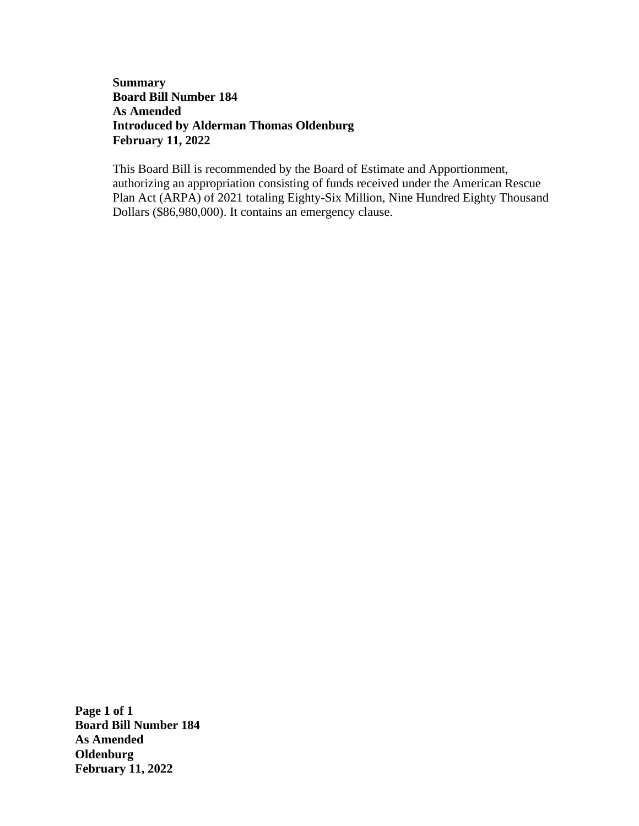## **Summary Board Bill Number 184 As Amended Introduced by Alderman Thomas Oldenburg February 11, 2022**

This Board Bill is recommended by the Board of Estimate and Apportionment, authorizing an appropriation consisting of funds received under the American Rescue Plan Act (ARPA) of 2021 totaling Eighty-Six Million, Nine Hundred Eighty Thousand Dollars (\$86,980,000). It contains an emergency clause.

**Page 1 of 1 Board Bill Number 184 As Amended Oldenburg February 11, 2022**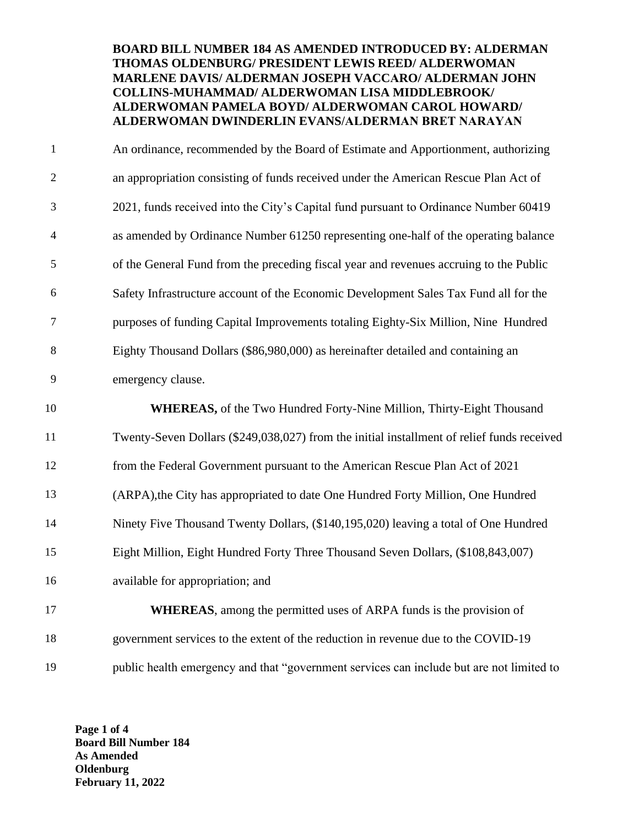## **BOARD BILL NUMBER 184 AS AMENDED INTRODUCED BY: ALDERMAN THOMAS OLDENBURG/ PRESIDENT LEWIS REED/ ALDERWOMAN MARLENE DAVIS/ ALDERMAN JOSEPH VACCARO/ ALDERMAN JOHN COLLINS-MUHAMMAD/ ALDERWOMAN LISA MIDDLEBROOK/ ALDERWOMAN PAMELA BOYD/ ALDERWOMAN CAROL HOWARD/ ALDERWOMAN DWINDERLIN EVANS/ALDERMAN BRET NARAYAN**

1 2 3 4 5 6 7 8 9 10 11 An ordinance, recommended by the Board of Estimate and Apportionment, authorizing an appropriation consisting of funds received under the American Rescue Plan Act of 2021, funds received into the City's Capital fund pursuant to Ordinance Number 60419 as amended by Ordinance Number 61250 representing one-half of the operating balance of the General Fund from the preceding fiscal year and revenues accruing to the Public Safety Infrastructure account of the Economic Development Sales Tax Fund all for the purposes of funding Capital Improvements totaling Eighty-Six Million, Nine Hundred Eighty Thousand Dollars (\$86,980,000) as hereinafter detailed and containing an emergency clause. **WHEREAS,** of the Two Hundred Forty-Nine Million, Thirty-Eight Thousand Twenty-Seven Dollars (\$249,038,027) from the initial installment of relief funds received

12 from the Federal Government pursuant to the American Rescue Plan Act of 2021

13 (ARPA),the City has appropriated to date One Hundred Forty Million, One Hundred

- 14 Ninety Five Thousand Twenty Dollars, (\$140,195,020) leaving a total of One Hundred
- 15 Eight Million, Eight Hundred Forty Three Thousand Seven Dollars, (\$108,843,007)
- 16 available for appropriation; and

17 18 **WHEREAS**, among the permitted uses of ARPA funds is the provision of government services to the extent of the reduction in revenue due to the COVID-19 19 public health emergency and that "government services can include but are not limited to

**Page 1 of 4 Board Bill Number 184 As Amended Oldenburg February 11, 2022**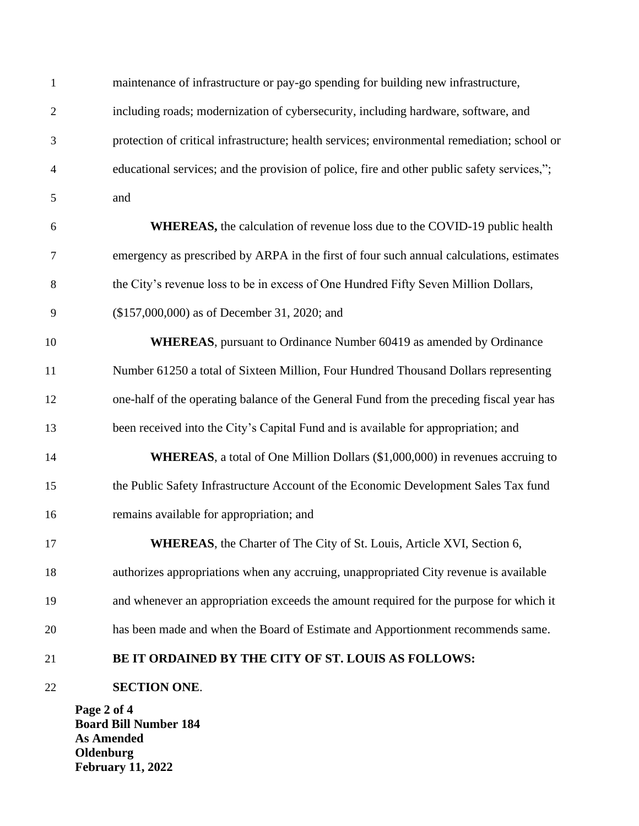|                | Page 2 of 4<br><b>Board Bill Number 184</b>                                                  |
|----------------|----------------------------------------------------------------------------------------------|
| 22             | <b>SECTION ONE.</b>                                                                          |
| 21             | BE IT ORDAINED BY THE CITY OF ST. LOUIS AS FOLLOWS:                                          |
| 20             | has been made and when the Board of Estimate and Apportionment recommends same.              |
| 19             | and whenever an appropriation exceeds the amount required for the purpose for which it       |
| 18             | authorizes appropriations when any accruing, unappropriated City revenue is available        |
| 17             | WHEREAS, the Charter of The City of St. Louis, Article XVI, Section 6,                       |
| 16             | remains available for appropriation; and                                                     |
| 15             | the Public Safety Infrastructure Account of the Economic Development Sales Tax fund          |
| 14             | WHEREAS, a total of One Million Dollars (\$1,000,000) in revenues accruing to                |
| 13             | been received into the City's Capital Fund and is available for appropriation; and           |
| 12             | one-half of the operating balance of the General Fund from the preceding fiscal year has     |
| 11             | Number 61250 a total of Sixteen Million, Four Hundred Thousand Dollars representing          |
| 10             | <b>WHEREAS</b> , pursuant to Ordinance Number 60419 as amended by Ordinance                  |
| 9              | (\$157,000,000) as of December 31, 2020; and                                                 |
| 8              | the City's revenue loss to be in excess of One Hundred Fifty Seven Million Dollars,          |
| 7              | emergency as prescribed by ARPA in the first of four such annual calculations, estimates     |
| 6              | WHEREAS, the calculation of revenue loss due to the COVID-19 public health                   |
| 5              | and                                                                                          |
| 4              | educational services; and the provision of police, fire and other public safety services,";  |
| 3              | protection of critical infrastructure; health services; environmental remediation; school or |
| $\overline{2}$ | including roads; modernization of cybersecurity, including hardware, software, and           |
| $\mathbf{1}$   | maintenance of infrastructure or pay-go spending for building new infrastructure,            |

**Board Bill Number 184 As Amended Oldenburg February 11, 2022**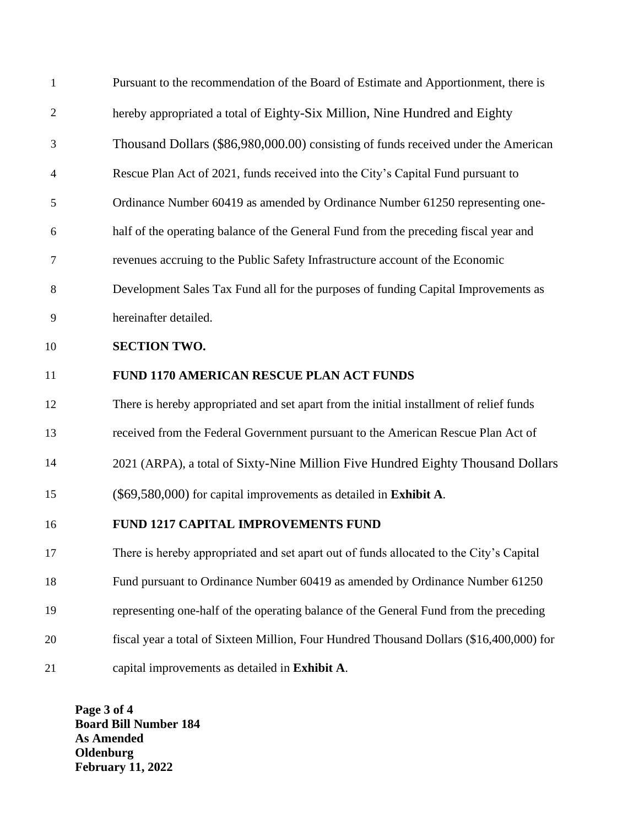| $\mathbf{1}$   | Pursuant to the recommendation of the Board of Estimate and Apportionment, there is      |
|----------------|------------------------------------------------------------------------------------------|
| $\overline{2}$ | hereby appropriated a total of Eighty-Six Million, Nine Hundred and Eighty               |
| 3              | Thousand Dollars (\$86,980,000.00) consisting of funds received under the American       |
| $\overline{4}$ | Rescue Plan Act of 2021, funds received into the City's Capital Fund pursuant to         |
| 5              | Ordinance Number 60419 as amended by Ordinance Number 61250 representing one-            |
| 6              | half of the operating balance of the General Fund from the preceding fiscal year and     |
| 7              | revenues accruing to the Public Safety Infrastructure account of the Economic            |
| 8              | Development Sales Tax Fund all for the purposes of funding Capital Improvements as       |
| 9              | hereinafter detailed.                                                                    |
| 10             | <b>SECTION TWO.</b>                                                                      |
| 11             | FUND 1170 AMERICAN RESCUE PLAN ACT FUNDS                                                 |
| 12             | There is hereby appropriated and set apart from the initial installment of relief funds  |
| 13             | received from the Federal Government pursuant to the American Rescue Plan Act of         |
| 14             | 2021 (ARPA), a total of Sixty-Nine Million Five Hundred Eighty Thousand Dollars          |
| 15             | $(\$69,580,000)$ for capital improvements as detailed in <b>Exhibit A</b> .              |
| 16             | <b>FUND 1217 CAPITAL IMPROVEMENTS FUND</b>                                               |
| 17             | There is hereby appropriated and set apart out of funds allocated to the City's Capital  |
| 18             | Fund pursuant to Ordinance Number 60419 as amended by Ordinance Number 61250             |
| 19             | representing one-half of the operating balance of the General Fund from the preceding    |
| 20             | fiscal year a total of Sixteen Million, Four Hundred Thousand Dollars (\$16,400,000) for |
| 21             | capital improvements as detailed in Exhibit A.                                           |

**Page 3 of 4 Board Bill Number 184 As Amended Oldenburg February 11, 2022**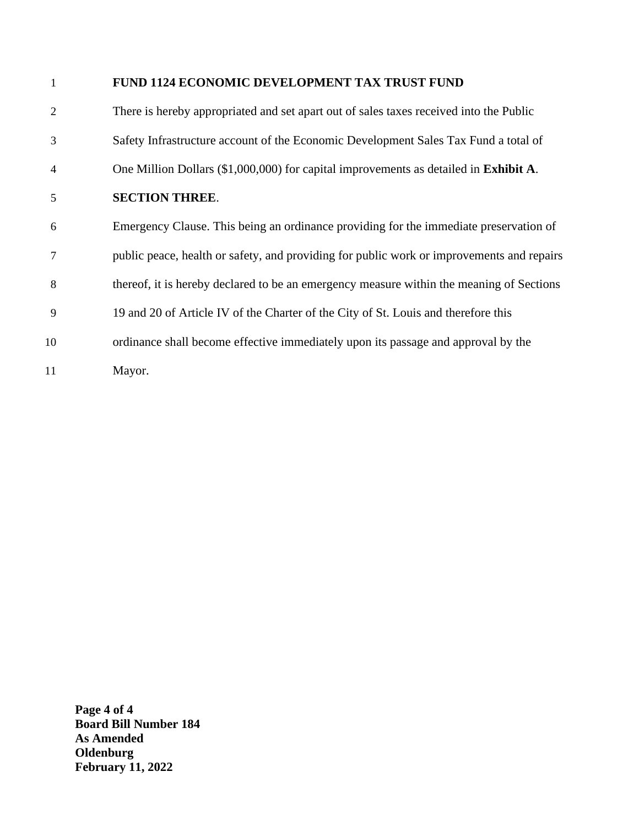## **FUND 1124 ECONOMIC DEVELOPMENT TAX TRUST FUND**

 There is hereby appropriated and set apart out of sales taxes received into the Public Safety Infrastructure account of the Economic Development Sales Tax Fund a total of One Million Dollars (\$1,000,000) for capital improvements as detailed in **Exhibit A**.  **SECTION THREE**. Emergency Clause. This being an ordinance providing for the immediate preservation of public peace, health or safety, and providing for public work or improvements and repairs thereof, it is hereby declared to be an emergency measure within the meaning of Sections 19 and 20 of Article IV of the Charter of the City of St. Louis and therefore this ordinance shall become effective immediately upon its passage and approval by the Mayor.

**Page 4 of 4 Board Bill Number 184 As Amended Oldenburg February 11, 2022**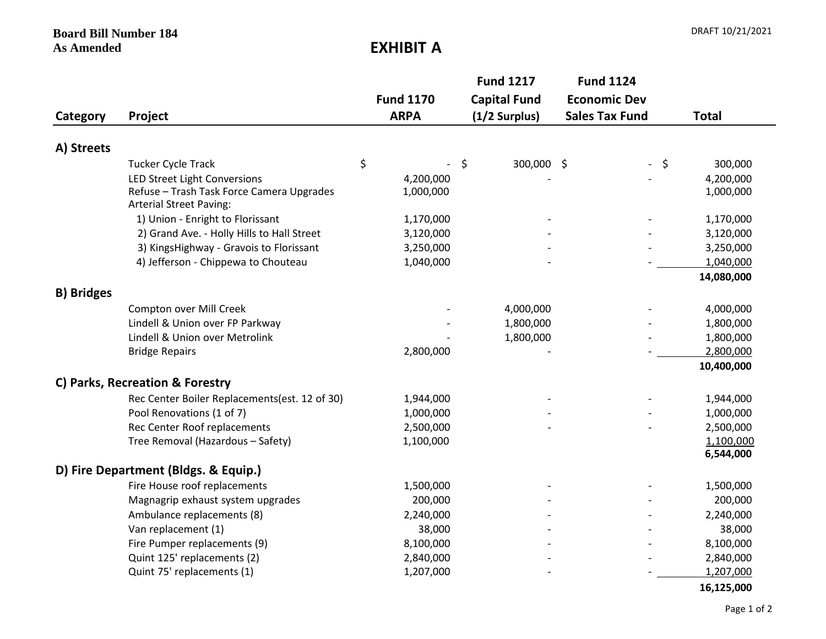**Board Bill Number 184** 

**EXHIBIT A** 

|                   |                                                                             |    |                  | <b>Fund 1217</b> |                     | <b>Fund 1124</b>         |         |              |
|-------------------|-----------------------------------------------------------------------------|----|------------------|------------------|---------------------|--------------------------|---------|--------------|
|                   |                                                                             |    | <b>Fund 1170</b> |                  | <b>Capital Fund</b> | <b>Economic Dev</b>      |         |              |
| Category          | Project                                                                     |    | <b>ARPA</b>      | $(1/2$ Surplus)  |                     | <b>Sales Tax Fund</b>    |         | <b>Total</b> |
| A) Streets        |                                                                             |    |                  |                  |                     |                          |         |              |
|                   | Tucker Cycle Track                                                          | \$ |                  | \$               | 300,000 \$          | $\overline{\phantom{a}}$ | $\zeta$ | 300,000      |
|                   | LED Street Light Conversions                                                |    | 4,200,000        |                  |                     |                          |         | 4,200,000    |
|                   | Refuse - Trash Task Force Camera Upgrades<br><b>Arterial Street Paving:</b> |    | 1,000,000        |                  |                     |                          |         | 1,000,000    |
|                   | 1) Union - Enright to Florissant                                            |    | 1,170,000        |                  |                     |                          |         | 1,170,000    |
|                   | 2) Grand Ave. - Holly Hills to Hall Street                                  |    | 3,120,000        |                  |                     |                          |         | 3,120,000    |
|                   | 3) KingsHighway - Gravois to Florissant                                     |    | 3,250,000        |                  |                     |                          |         | 3,250,000    |
|                   | 4) Jefferson - Chippewa to Chouteau                                         |    | 1,040,000        |                  |                     |                          |         | 1,040,000    |
|                   |                                                                             |    |                  |                  |                     |                          |         | 14,080,000   |
| <b>B) Bridges</b> |                                                                             |    |                  |                  |                     |                          |         |              |
|                   | Compton over Mill Creek                                                     |    |                  |                  | 4,000,000           |                          |         | 4,000,000    |
|                   | Lindell & Union over FP Parkway                                             |    |                  |                  | 1,800,000           |                          |         | 1,800,000    |
|                   | Lindell & Union over Metrolink                                              |    |                  |                  | 1,800,000           |                          |         | 1,800,000    |
|                   | <b>Bridge Repairs</b>                                                       |    | 2,800,000        |                  |                     |                          |         | 2,800,000    |
|                   |                                                                             |    |                  |                  |                     |                          |         | 10,400,000   |
|                   | C) Parks, Recreation & Forestry                                             |    |                  |                  |                     |                          |         |              |
|                   | Rec Center Boiler Replacements(est. 12 of 30)                               |    | 1,944,000        |                  |                     |                          |         | 1,944,000    |
|                   | Pool Renovations (1 of 7)                                                   |    | 1,000,000        |                  |                     |                          |         | 1,000,000    |
|                   | Rec Center Roof replacements                                                |    | 2,500,000        |                  |                     |                          |         | 2,500,000    |
|                   | Tree Removal (Hazardous - Safety)                                           |    | 1,100,000        |                  |                     |                          |         | 1,100,000    |
|                   |                                                                             |    |                  |                  |                     |                          |         | 6,544,000    |
|                   | D) Fire Department (Bldgs. & Equip.)                                        |    |                  |                  |                     |                          |         |              |
|                   | Fire House roof replacements                                                |    | 1,500,000        |                  |                     |                          |         | 1,500,000    |
|                   | Magnagrip exhaust system upgrades                                           |    | 200,000          |                  |                     |                          |         | 200,000      |
|                   | Ambulance replacements (8)                                                  |    | 2,240,000        |                  |                     |                          |         | 2,240,000    |
|                   | Van replacement (1)                                                         |    | 38,000           |                  |                     |                          |         | 38,000       |
|                   | Fire Pumper replacements (9)                                                |    | 8,100,000        |                  |                     |                          |         | 8,100,000    |
|                   | Quint 125' replacements (2)                                                 |    | 2,840,000        |                  |                     |                          |         | 2,840,000    |
|                   | Quint 75' replacements (1)                                                  |    | 1,207,000        |                  |                     |                          |         | 1,207,000    |

Page 1 of 2